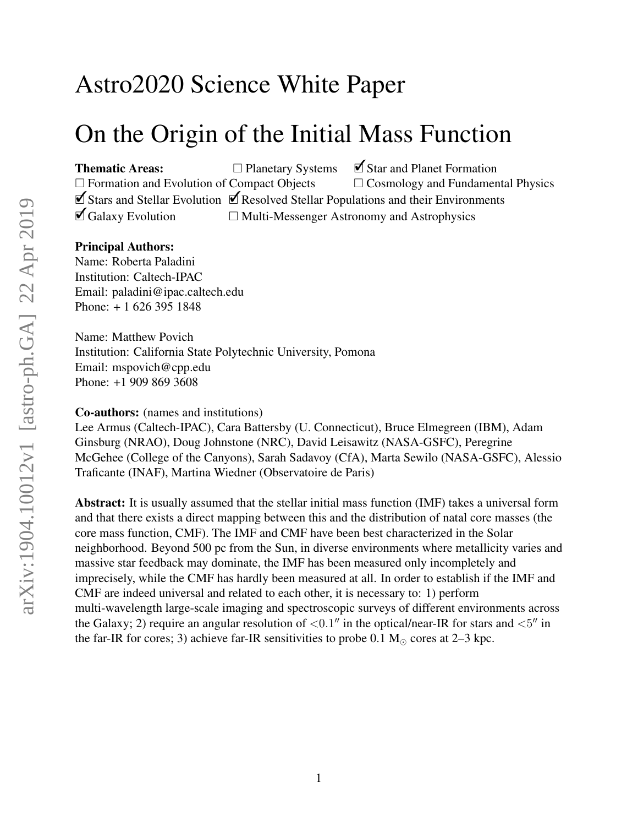# Astro2020 Science White Paper

# On the Origin of the Initial Mass Function

Thematic Areas: □ Planetary Systems **○**Star and Planet Formation  $\Box$  Formation and Evolution of Compact Objects  $\Box$  Cosmology and Fundamental Physics ✓Stars and Stellar Evolution ✓Resolved Stellar Populations and their Environments  $\Box$  Galaxy Evolution  $\Box$  Multi-Messenger Astronomy and Astrophysics

#### Principal Authors:

Name: Roberta Paladini Institution: Caltech-IPAC Email: paladini@ipac.caltech.edu Phone: + 1 626 395 1848

Name: Matthew Povich Institution: California State Polytechnic University, Pomona Email: mspovich@cpp.edu Phone: +1 909 869 3608

#### Co-authors: (names and institutions)

Lee Armus (Caltech-IPAC), Cara Battersby (U. Connecticut), Bruce Elmegreen (IBM), Adam Ginsburg (NRAO), Doug Johnstone (NRC), David Leisawitz (NASA-GSFC), Peregrine McGehee (College of the Canyons), Sarah Sadavoy (CfA), Marta Sewilo (NASA-GSFC), Alessio Traficante (INAF), Martina Wiedner (Observatoire de Paris)

Abstract: It is usually assumed that the stellar initial mass function (IMF) takes a universal form and that there exists a direct mapping between this and the distribution of natal core masses (the core mass function, CMF). The IMF and CMF have been best characterized in the Solar neighborhood. Beyond 500 pc from the Sun, in diverse environments where metallicity varies and massive star feedback may dominate, the IMF has been measured only incompletely and imprecisely, while the CMF has hardly been measured at all. In order to establish if the IMF and CMF are indeed universal and related to each other, it is necessary to: 1) perform multi-wavelength large-scale imaging and spectroscopic surveys of different environments across the Galaxy; 2) require an angular resolution of  $\langle 0.1$ " in the optical/near-IR for stars and  $\langle 5$ " in the far-IR for cores; 3) achieve far-IR sensitivities to probe  $0.1 M_{\odot}$  cores at 2–3 kpc.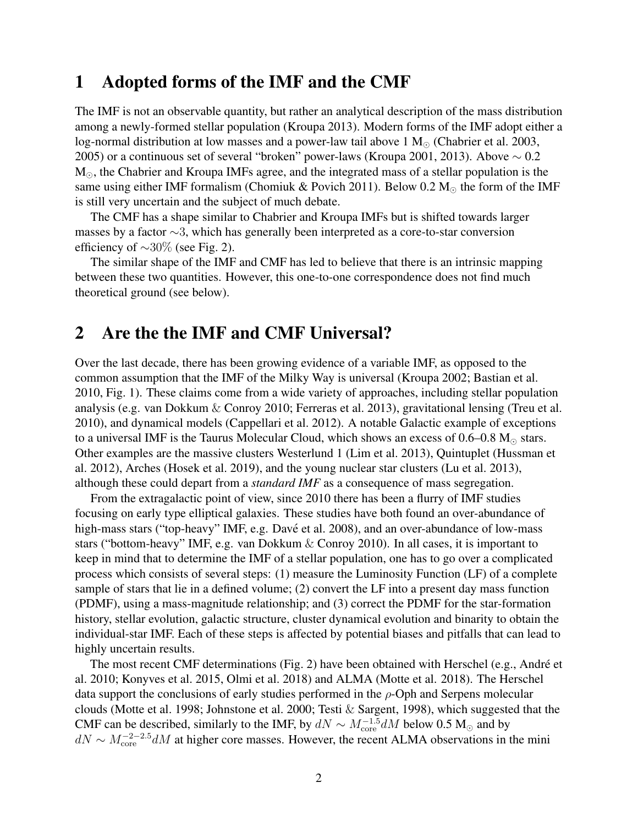# 1 Adopted forms of the IMF and the CMF

The IMF is not an observable quantity, but rather an analytical description of the mass distribution among a newly-formed stellar population (Kroupa 2013). Modern forms of the IMF adopt either a log-normal distribution at low masses and a power-law tail above 1  $M_{\odot}$  (Chabrier et al. 2003, 2005) or a continuous set of several "broken" power-laws (Kroupa 2001, 2013). Above  $\sim 0.2$  $M_{\odot}$ , the Chabrier and Kroupa IMFs agree, and the integrated mass of a stellar population is the same using either IMF formalism (Chomiuk & Povich 2011). Below 0.2  $M_{\odot}$  the form of the IMF is still very uncertain and the subject of much debate.

The CMF has a shape similar to Chabrier and Kroupa IMFs but is shifted towards larger masses by a factor ∼3, which has generally been interpreted as a core-to-star conversion efficiency of  $\sim$ 30% (see Fig. 2).

The similar shape of the IMF and CMF has led to believe that there is an intrinsic mapping between these two quantities. However, this one-to-one correspondence does not find much theoretical ground (see below).

# 2 Are the the IMF and CMF Universal?

Over the last decade, there has been growing evidence of a variable IMF, as opposed to the common assumption that the IMF of the Milky Way is universal (Kroupa 2002; Bastian et al. 2010, Fig. 1). These claims come from a wide variety of approaches, including stellar population analysis (e.g. van Dokkum & Conroy 2010; Ferreras et al. 2013), gravitational lensing (Treu et al. 2010), and dynamical models (Cappellari et al. 2012). A notable Galactic example of exceptions to a universal IMF is the Taurus Molecular Cloud, which shows an excess of  $0.6-0.8$  M<sub> $\odot$ </sub> stars. Other examples are the massive clusters Westerlund 1 (Lim et al. 2013), Quintuplet (Hussman et al. 2012), Arches (Hosek et al. 2019), and the young nuclear star clusters (Lu et al. 2013), although these could depart from a *standard IMF* as a consequence of mass segregation.

From the extragalactic point of view, since 2010 there has been a flurry of IMF studies focusing on early type elliptical galaxies. These studies have both found an over-abundance of high-mass stars ("top-heavy" IMF, e.g. Davé et al. 2008), and an over-abundance of low-mass stars ("bottom-heavy" IMF, e.g. van Dokkum & Conroy 2010). In all cases, it is important to keep in mind that to determine the IMF of a stellar population, one has to go over a complicated process which consists of several steps: (1) measure the Luminosity Function (LF) of a complete sample of stars that lie in a defined volume; (2) convert the LF into a present day mass function (PDMF), using a mass-magnitude relationship; and (3) correct the PDMF for the star-formation history, stellar evolution, galactic structure, cluster dynamical evolution and binarity to obtain the individual-star IMF. Each of these steps is affected by potential biases and pitfalls that can lead to highly uncertain results.

The most recent CMF determinations (Fig. 2) have been obtained with Herschel (e.g., André et al. 2010; Konyves et al. 2015, Olmi et al. 2018) and ALMA (Motte et al. 2018). The Herschel data support the conclusions of early studies performed in the  $\rho$ -Oph and Serpens molecular clouds (Motte et al. 1998; Johnstone et al. 2000; Testi & Sargent, 1998), which suggested that the CMF can be described, similarly to the IMF, by  $dN \sim M_{\text{core}}^{-1.5} dM$  below 0.5 M<sub>☉</sub> and by  $dN \sim M_{\text{core}}^{-2-2.5} dM$  at higher core masses. However, the recent ALMA observations in the mini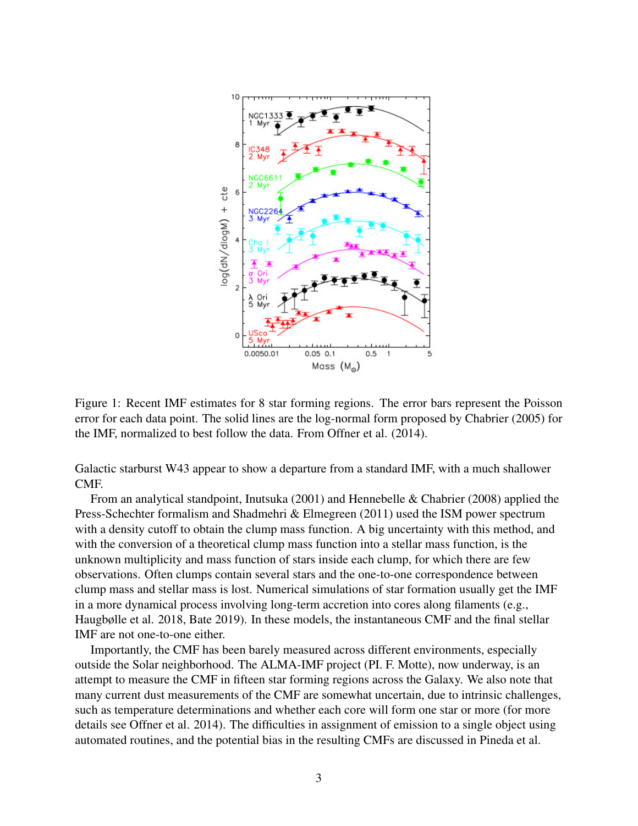

Figure 1: Recent IMF estimates for 8 star forming regions. The error bars represent the Poisson error for each data point. The solid lines are the log-normal form proposed by Chabrier (2005) for the IMF, normalized to best follow the data. From Offner et al. (2014).

Galactic starburst W43 appear to show a departure from a standard IMF, with a much shallower CMF.

From an analytical standpoint, Inutsuka (2001) and Hennebelle & Chabrier (2008) applied the Press-Schechter formalism and Shadmehri & Elmegreen (2011) used the ISM power spectrum with a density cutoff to obtain the clump mass function. A big uncertainty with this method, and with the conversion of a theoretical clump mass function into a stellar mass function, is the unknown multiplicity and mass function of stars inside each clump, for which there are few observations. Often clumps contain several stars and the one-to-one correspondence between clump mass and stellar mass is lost. Numerical simulations of star formation usually get the IMF in a more dynamical process involving long-term accretion into cores along filaments (e.g., Haugbølle et al. 2018, Bate 2019). In these models, the instantaneous CMF and the final stellar IMF are not one-to-one either.

Importantly, the CMF has been barely measured across different environments, especially outside the Solar neighborhood. The ALMA-IMF project (PI. F. Motte), now underway, is an attempt to measure the CMF in fifteen star forming regions across the Galaxy. We also note that many current dust measurements of the CMF are somewhat uncertain, due to intrinsic challenges, such as temperature determinations and whether each core will form one star or more (for more details see Offner et al. 2014). The difficulties in assignment of emission to a single object using automated routines, and the potential bias in the resulting CMFs are discussed in Pineda et al.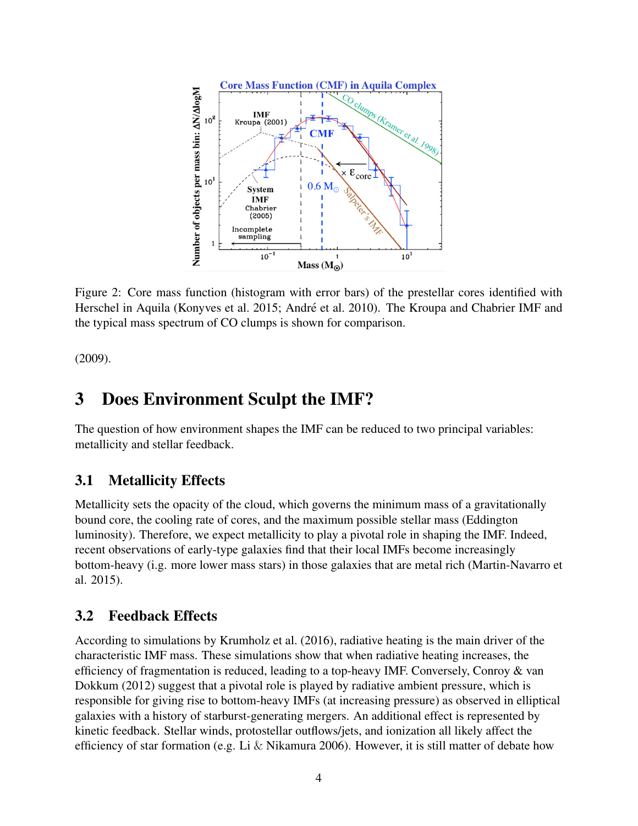

Figure 2: Core mass function (histogram with error bars) of the prestellar cores identified with Herschel in Aquila (Konyves et al. 2015; André et al. 2010). The Kroupa and Chabrier IMF and the typical mass spectrum of CO clumps is shown for comparison.

(2009).

# 3 Does Environment Sculpt the IMF?

The question of how environment shapes the IMF can be reduced to two principal variables: metallicity and stellar feedback.

## 3.1 Metallicity Effects

Metallicity sets the opacity of the cloud, which governs the minimum mass of a gravitationally bound core, the cooling rate of cores, and the maximum possible stellar mass (Eddington luminosity). Therefore, we expect metallicity to play a pivotal role in shaping the IMF. Indeed, recent observations of early-type galaxies find that their local IMFs become increasingly bottom-heavy (i.g. more lower mass stars) in those galaxies that are metal rich (Martin-Navarro et al. 2015).

### 3.2 Feedback Effects

According to simulations by Krumholz et al. (2016), radiative heating is the main driver of the characteristic IMF mass. These simulations show that when radiative heating increases, the efficiency of fragmentation is reduced, leading to a top-heavy IMF. Conversely, Conroy & van Dokkum (2012) suggest that a pivotal role is played by radiative ambient pressure, which is responsible for giving rise to bottom-heavy IMFs (at increasing pressure) as observed in elliptical galaxies with a history of starburst-generating mergers. An additional effect is represented by kinetic feedback. Stellar winds, protostellar outflows/jets, and ionization all likely affect the efficiency of star formation (e.g. Li & Nikamura 2006). However, it is still matter of debate how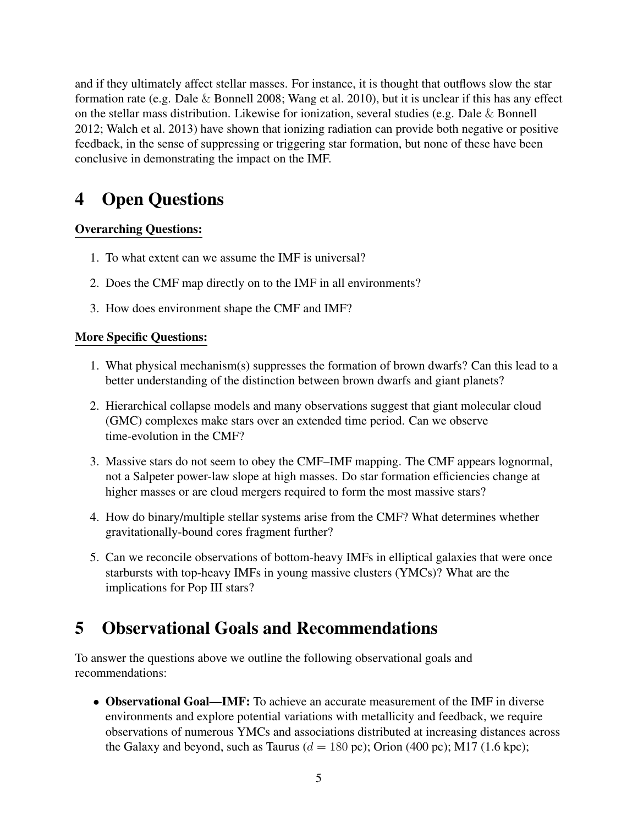and if they ultimately affect stellar masses. For instance, it is thought that outflows slow the star formation rate (e.g. Dale & Bonnell 2008; Wang et al. 2010), but it is unclear if this has any effect on the stellar mass distribution. Likewise for ionization, several studies (e.g. Dale & Bonnell 2012; Walch et al. 2013) have shown that ionizing radiation can provide both negative or positive feedback, in the sense of suppressing or triggering star formation, but none of these have been conclusive in demonstrating the impact on the IMF.

# 4 Open Questions

## Overarching Questions:

- 1. To what extent can we assume the IMF is universal?
- 2. Does the CMF map directly on to the IMF in all environments?
- 3. How does environment shape the CMF and IMF?

### More Specific Questions:

- 1. What physical mechanism(s) suppresses the formation of brown dwarfs? Can this lead to a better understanding of the distinction between brown dwarfs and giant planets?
- 2. Hierarchical collapse models and many observations suggest that giant molecular cloud (GMC) complexes make stars over an extended time period. Can we observe time-evolution in the CMF?
- 3. Massive stars do not seem to obey the CMF–IMF mapping. The CMF appears lognormal, not a Salpeter power-law slope at high masses. Do star formation efficiencies change at higher masses or are cloud mergers required to form the most massive stars?
- 4. How do binary/multiple stellar systems arise from the CMF? What determines whether gravitationally-bound cores fragment further?
- 5. Can we reconcile observations of bottom-heavy IMFs in elliptical galaxies that were once starbursts with top-heavy IMFs in young massive clusters (YMCs)? What are the implications for Pop III stars?

# 5 Observational Goals and Recommendations

To answer the questions above we outline the following observational goals and recommendations:

• Observational Goal—IMF: To achieve an accurate measurement of the IMF in diverse environments and explore potential variations with metallicity and feedback, we require observations of numerous YMCs and associations distributed at increasing distances across the Galaxy and beyond, such as Taurus ( $d = 180$  pc); Orion (400 pc); M17 (1.6 kpc);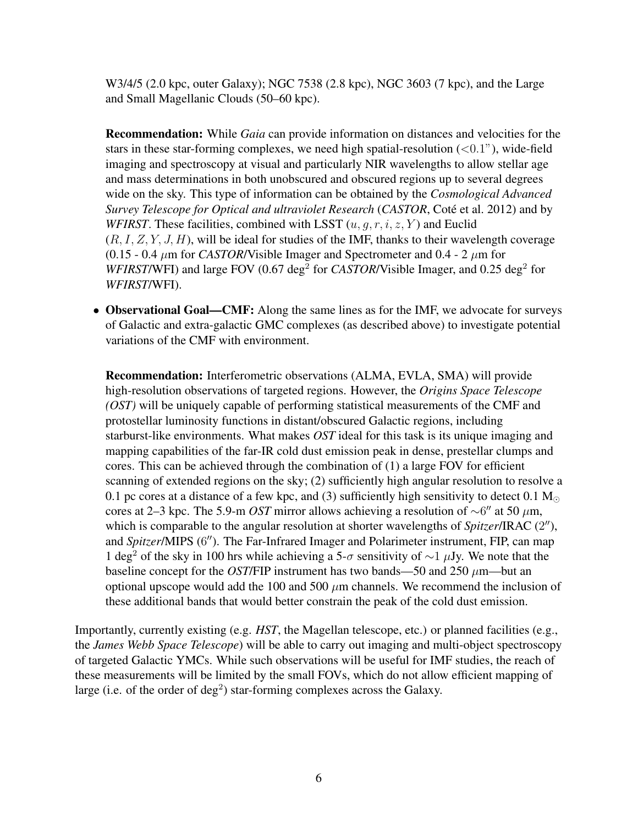W3/4/5 (2.0 kpc, outer Galaxy); NGC 7538 (2.8 kpc), NGC 3603 (7 kpc), and the Large and Small Magellanic Clouds (50–60 kpc).

Recommendation: While *Gaia* can provide information on distances and velocities for the stars in these star-forming complexes, we need high spatial-resolution  $(<0.1"$ ), wide-field imaging and spectroscopy at visual and particularly NIR wavelengths to allow stellar age and mass determinations in both unobscured and obscured regions up to several degrees wide on the sky. This type of information can be obtained by the *Cosmological Advanced Survey Telescope for Optical and ultraviolet Research (CASTOR, Coté et al. 2012) and by WFIRST*. These facilities, combined with LSST  $(u, q, r, i, z, Y)$  and Euclid  $(R, I, Z, Y, J, H)$ , will be ideal for studies of the IMF, thanks to their wavelength coverage (0.15 - 0.4  $\mu$ m for *CASTOR/Visible Imager and Spectrometer and 0.4 - 2*  $\mu$ *m* for *WFIRST/WFI*) and large FOV (0.67 deg<sup>2</sup> for *CASTOR/Visible Imager*, and 0.25 deg<sup>2</sup> for *WFIRST*/WFI).

• Observational Goal—CMF: Along the same lines as for the IMF, we advocate for surveys of Galactic and extra-galactic GMC complexes (as described above) to investigate potential variations of the CMF with environment.

Recommendation: Interferometric observations (ALMA, EVLA, SMA) will provide high-resolution observations of targeted regions. However, the *Origins Space Telescope (OST)* will be uniquely capable of performing statistical measurements of the CMF and protostellar luminosity functions in distant/obscured Galactic regions, including starburst-like environments. What makes *OST* ideal for this task is its unique imaging and mapping capabilities of the far-IR cold dust emission peak in dense, prestellar clumps and cores. This can be achieved through the combination of (1) a large FOV for efficient scanning of extended regions on the sky; (2) sufficiently high angular resolution to resolve a 0.1 pc cores at a distance of a few kpc, and (3) sufficiently high sensitivity to detect 0.1  $M_{\odot}$ cores at 2–3 kpc. The 5.9-m *OST* mirror allows achieving a resolution of  $\sim$ 6" at 50  $\mu$ m, which is comparable to the angular resolution at shorter wavelengths of Spitzer/IRAC (2"), and Spitzer/MIPS (6"). The Far-Infrared Imager and Polarimeter instrument, FIP, can map 1 deg<sup>2</sup> of the sky in 100 hrs while achieving a 5- $\sigma$  sensitivity of  $\sim$ 1 µJy. We note that the baseline concept for the *OST*/FIP instrument has two bands—50 and 250  $\mu$ m—but an optional upscope would add the 100 and 500  $\mu$ m channels. We recommend the inclusion of these additional bands that would better constrain the peak of the cold dust emission.

Importantly, currently existing (e.g. *HST*, the Magellan telescope, etc.) or planned facilities (e.g., the *James Webb Space Telescope*) will be able to carry out imaging and multi-object spectroscopy of targeted Galactic YMCs. While such observations will be useful for IMF studies, the reach of these measurements will be limited by the small FOVs, which do not allow efficient mapping of large (i.e. of the order of  $deg<sup>2</sup>$ ) star-forming complexes across the Galaxy.